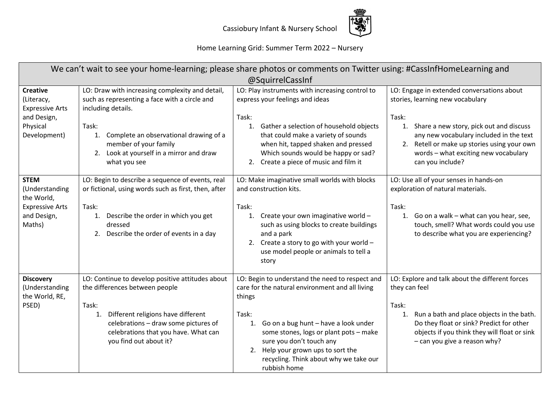

Home Learning Grid: Summer Term 2022 – Nursery

| We can't wait to see your home-learning; please share photos or comments on Twitter using: #CassInfHomeLearning and |                                                                                                                                                                                                                                                                      |                                                                                                                                                                                                                                                                                                                                           |                                                                                                                                                                                                                                                                                                |
|---------------------------------------------------------------------------------------------------------------------|----------------------------------------------------------------------------------------------------------------------------------------------------------------------------------------------------------------------------------------------------------------------|-------------------------------------------------------------------------------------------------------------------------------------------------------------------------------------------------------------------------------------------------------------------------------------------------------------------------------------------|------------------------------------------------------------------------------------------------------------------------------------------------------------------------------------------------------------------------------------------------------------------------------------------------|
| @SquirrelCassInf                                                                                                    |                                                                                                                                                                                                                                                                      |                                                                                                                                                                                                                                                                                                                                           |                                                                                                                                                                                                                                                                                                |
| <b>Creative</b><br>(Literacy,<br><b>Expressive Arts</b><br>and Design,<br>Physical<br>Development)                  | LO: Draw with increasing complexity and detail,<br>such as representing a face with a circle and<br>including details.<br>Task:<br>Complete an observational drawing of a<br>1.<br>member of your family<br>2. Look at yourself in a mirror and draw<br>what you see | LO: Play instruments with increasing control to<br>express your feelings and ideas<br>Task:<br>Gather a selection of household objects<br>1.<br>that could make a variety of sounds<br>when hit, tapped shaken and pressed<br>Which sounds would be happy or sad?<br>Create a piece of music and film it<br>2.                            | LO: Engage in extended conversations about<br>stories, learning new vocabulary<br>Task:<br>1.<br>Share a new story, pick out and discuss<br>any new vocabulary included in the text<br>2. Retell or make up stories using your own<br>words - what exciting new vocabulary<br>can you include? |
| <b>STEM</b><br>(Understanding<br>the World,<br><b>Expressive Arts</b><br>and Design,<br>Maths)                      | LO: Begin to describe a sequence of events, real<br>or fictional, using words such as first, then, after<br>Task:<br>Describe the order in which you get<br>1.<br>dressed<br>2. Describe the order of events in a day                                                | LO: Make imaginative small worlds with blocks<br>and construction kits.<br>Task:<br>Create your own imaginative world -<br>1.<br>such as using blocks to create buildings<br>and a park<br>2. Create a story to go with your world $-$<br>use model people or animals to tell a<br>story                                                  | LO: Use all of your senses in hands-on<br>exploration of natural materials.<br>Task:<br>Go on a walk - what can you hear, see,<br>1.<br>touch, smell? What words could you use<br>to describe what you are experiencing?                                                                       |
| <b>Discovery</b><br>(Understanding<br>the World, RE,<br>PSED)                                                       | LO: Continue to develop positive attitudes about<br>the differences between people<br>Task:<br>Different religions have different<br>1.<br>celebrations - draw some pictures of<br>celebrations that you have. What can<br>you find out about it?                    | LO: Begin to understand the need to respect and<br>care for the natural environment and all living<br>things<br>Task:<br>Go on a bug hunt - have a look under<br>1.<br>some stones, logs or plant pots - make<br>sure you don't touch any<br>2. Help your grown ups to sort the<br>recycling. Think about why we take our<br>rubbish home | LO: Explore and talk about the different forces<br>they can feel<br>Task:<br>Run a bath and place objects in the bath.<br>1.<br>Do they float or sink? Predict for other<br>objects if you think they will float or sink<br>- can you give a reason why?                                       |